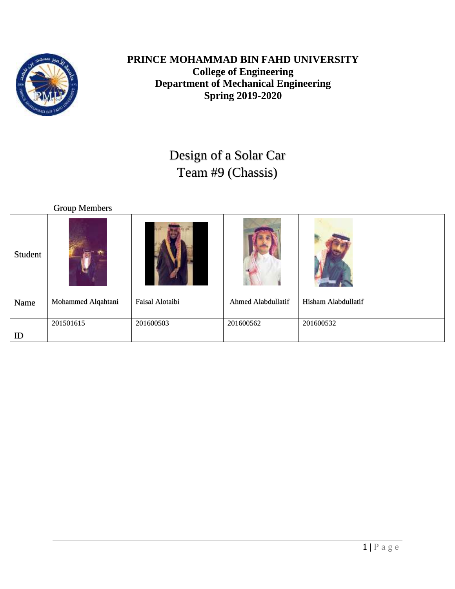

### **PRINCE MOHAMMAD BIN FAHD UNIVERSITY College of Engineering Department of Mechanical Engineering Spring 2019-2020**

# Design of a Solar Car Team #9 (Chassis)

|         | <b>Group Members</b> |                 |                    |                     |  |
|---------|----------------------|-----------------|--------------------|---------------------|--|
| Student |                      |                 |                    |                     |  |
| Name    | Mohammed Alqahtani   | Faisal Alotaibi | Ahmed Alabdullatif | Hisham Alabdullatif |  |
|         | 201501615            | 201600503       | 201600562          | 201600532           |  |
| ID      |                      |                 |                    |                     |  |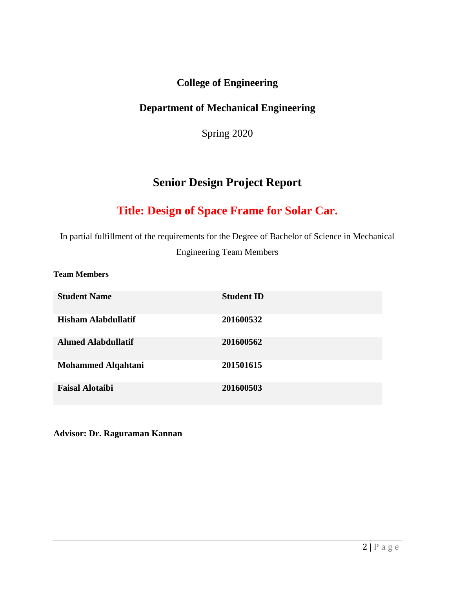### **College of Engineering**

### **Department of Mechanical Engineering**

Spring 2020

# **Senior Design Project Report**

# **Title: Design of Space Frame for Solar Car.**

In partial fulfillment of the requirements for the Degree of Bachelor of Science in Mechanical Engineering Team Members

**Team Members**

| <b>Student Name</b>        | <b>Student ID</b> |
|----------------------------|-------------------|
| <b>Hisham Alabdullatif</b> | 201600532         |
| <b>Ahmed Alabdullatif</b>  | 201600562         |
| <b>Mohammed Alqahtani</b>  | 201501615         |
| <b>Faisal Alotaibi</b>     | 201600503         |

**Advisor: Dr. Raguraman Kannan**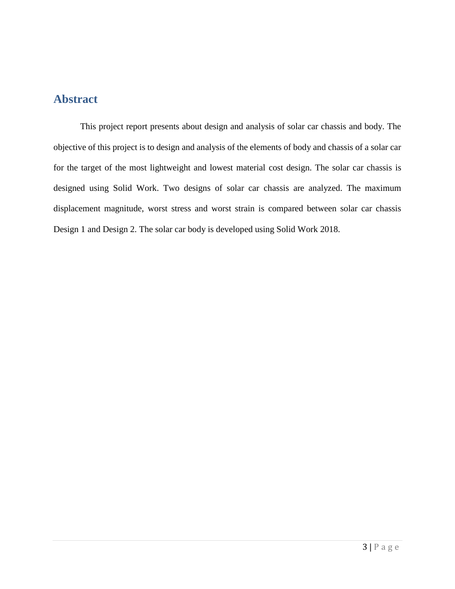### **Abstract**

This project report presents about design and analysis of solar car chassis and body. The objective of this project is to design and analysis of the elements of body and chassis of a solar car for the target of the most lightweight and lowest material cost design. The solar car chassis is designed using Solid Work. Two designs of solar car chassis are analyzed. The maximum displacement magnitude, worst stress and worst strain is compared between solar car chassis Design 1 and Design 2. The solar car body is developed using Solid Work 2018.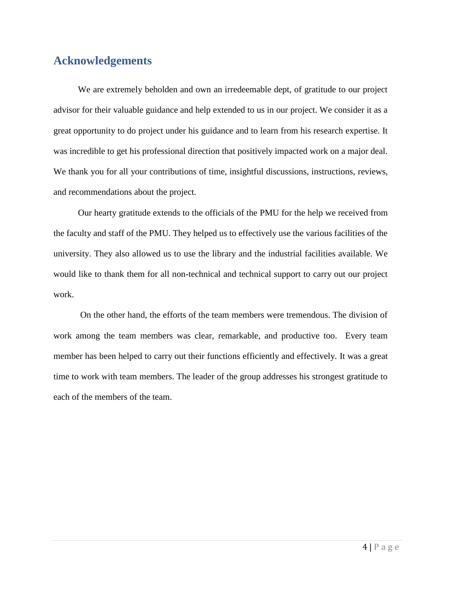# **Acknowledgements**

 We are extremely beholden and own an irredeemable dept, of gratitude to our project advisor for their valuable guidance and help extended to us in our project. We consider it as a great opportunity to do project under his guidance and to learn from his research expertise. It was incredible to get his professional direction that positively impacted work on a major deal. We thank you for all your contributions of time, insightful discussions, instructions, reviews, and recommendations about the project.

 Our hearty gratitude extends to the officials of the PMU for the help we received from the faculty and staff of the PMU. They helped us to effectively use the various facilities of the university. They also allowed us to use the library and the industrial facilities available. We would like to thank them for all non-technical and technical support to carry out our project work.

 On the other hand, the efforts of the team members were tremendous. The division of work among the team members was clear, remarkable, and productive too. Every team member has been helped to carry out their functions efficiently and effectively. It was a great time to work with team members. The leader of the group addresses his strongest gratitude to each of the members of the team.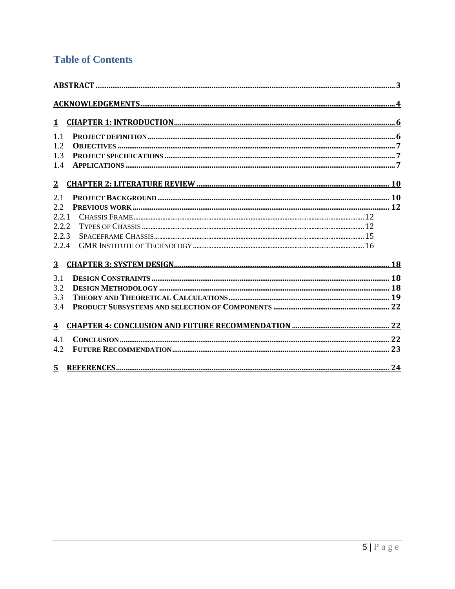# **Table of Contents**

| $\mathbf{1}$            |  |
|-------------------------|--|
| $1\,1$                  |  |
| 1.2                     |  |
| 1.3                     |  |
| 1.4                     |  |
| 2 <sub>1</sub>          |  |
| 2.1                     |  |
| 2.2                     |  |
| 2.2.1                   |  |
| 2.2.2                   |  |
| 2.2.3                   |  |
| 2.2.4                   |  |
| $\overline{3}$          |  |
| 3.1                     |  |
| 3.2                     |  |
| 3.3                     |  |
| 3.4                     |  |
| $\overline{\mathbf{4}}$ |  |
| 4.1                     |  |
| 4.2                     |  |
|                         |  |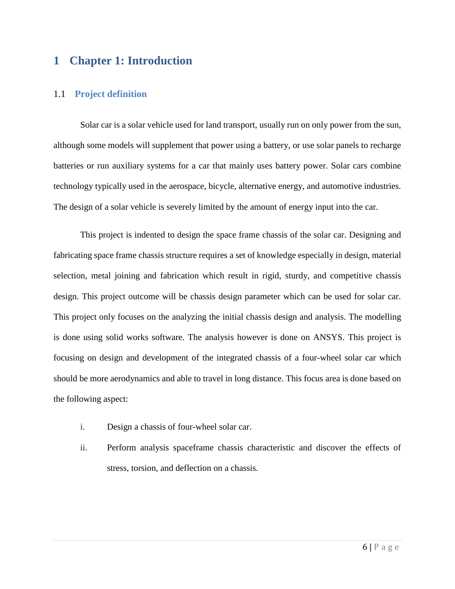### **1 Chapter 1: Introduction**

#### 1.1 **Project definition**

Solar car is a solar vehicle used for land transport, usually run on only power from the sun, although some models will supplement that power using a battery, or use solar panels to recharge batteries or run auxiliary systems for a car that mainly uses battery power. Solar cars combine technology typically used in the aerospace, bicycle, alternative energy, and automotive industries. The design of a solar vehicle is severely limited by the amount of energy input into the car.

This project is indented to design the space frame chassis of the solar car. Designing and fabricating space frame chassis structure requires a set of knowledge especially in design, material selection, metal joining and fabrication which result in rigid, sturdy, and competitive chassis design. This project outcome will be chassis design parameter which can be used for solar car. This project only focuses on the analyzing the initial chassis design and analysis. The modelling is done using solid works software. The analysis however is done on ANSYS. This project is focusing on design and development of the integrated chassis of a four-wheel solar car which should be more aerodynamics and able to travel in long distance. This focus area is done based on the following aspect:

- i. Design a chassis of four-wheel solar car.
- ii. Perform analysis spaceframe chassis characteristic and discover the effects of stress, torsion, and deflection on a chassis.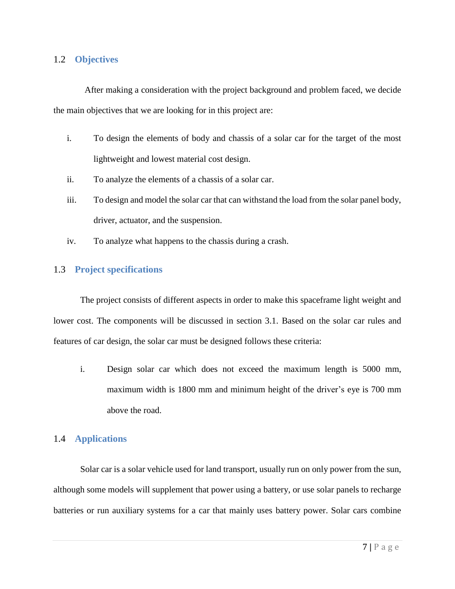### 1.2 **Objectives**

 After making a consideration with the project background and problem faced, we decide the main objectives that we are looking for in this project are:

- i. To design the elements of body and chassis of a solar car for the target of the most lightweight and lowest material cost design.
- ii. To analyze the elements of a chassis of a solar car.
- iii. To design and model the solar car that can withstand the load from the solar panel body, driver, actuator, and the suspension.
- iv. To analyze what happens to the chassis during a crash.

### 1.3 **Project specifications**

The project consists of different aspects in order to make this spaceframe light weight and lower cost. The components will be discussed in section 3.1. Based on the solar car rules and features of car design, the solar car must be designed follows these criteria:

i. Design solar car which does not exceed the maximum length is 5000 mm, maximum width is 1800 mm and minimum height of the driver's eye is 700 mm above the road.

### 1.4 **Applications**

Solar car is a solar vehicle used for land transport, usually run on only power from the sun, although some models will supplement that power using a battery, or use solar panels to recharge batteries or run auxiliary systems for a car that mainly uses battery power. Solar cars combine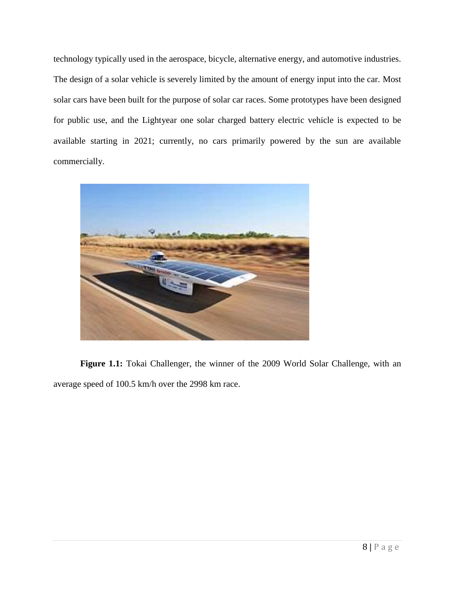technology typically used in the aerospace, bicycle, alternative energy, and automotive industries. The design of a solar vehicle is severely limited by the amount of energy input into the car. Most solar cars have been built for the purpose of solar car races. Some prototypes have been designed for public use, and the Lightyear one solar charged battery electric vehicle is expected to be available starting in 2021; currently, no cars primarily powered by the sun are available commercially.



**Figure 1.1:** Tokai Challenger, the winner of the 2009 World Solar Challenge, with an average speed of 100.5 km/h over the 2998 km race.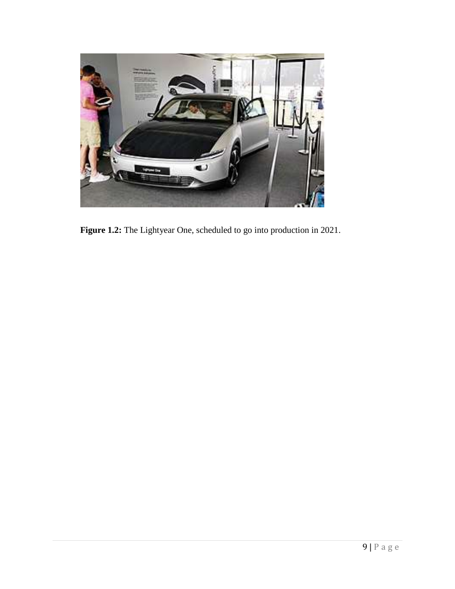

**Figure 1.2:** The Lightyear One, scheduled to go into production in 2021.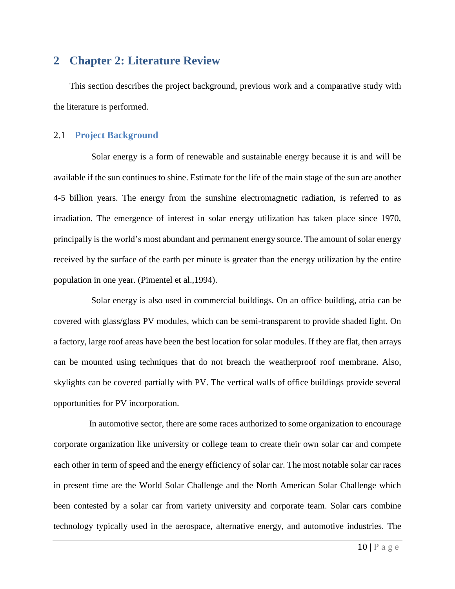### **2 Chapter 2: Literature Review**

This section describes the project background, previous work and a comparative study with the literature is performed.

#### 2.1 **Project Background**

 Solar energy is a form of renewable and sustainable energy because it is and will be available if the sun continues to shine. Estimate for the life of the main stage of the sun are another 4-5 billion years. The energy from the sunshine electromagnetic radiation, is referred to as irradiation. The emergence of interest in solar energy utilization has taken place since 1970, principally is the world's most abundant and permanent energy source. The amount of solar energy received by the surface of the earth per minute is greater than the energy utilization by the entire population in one year. (Pimentel et al.,1994).

 Solar energy is also used in commercial buildings. On an office building, atria can be covered with glass/glass PV modules, which can be semi-transparent to provide shaded light. On a factory, large roof areas have been the best location for solar modules. If they are flat, then arrays can be mounted using techniques that do not breach the weatherproof roof membrane. Also, skylights can be covered partially with PV. The vertical walls of office buildings provide several opportunities for PV incorporation.

 In automotive sector, there are some races authorized to some organization to encourage corporate organization like university or college team to create their own solar car and compete each other in term of speed and the energy efficiency of solar car. The most notable solar car races in present time are the World Solar Challenge and the North American Solar Challenge which been contested by a solar car from variety university and corporate team. Solar cars combine technology typically used in the aerospace, alternative energy, and automotive industries. The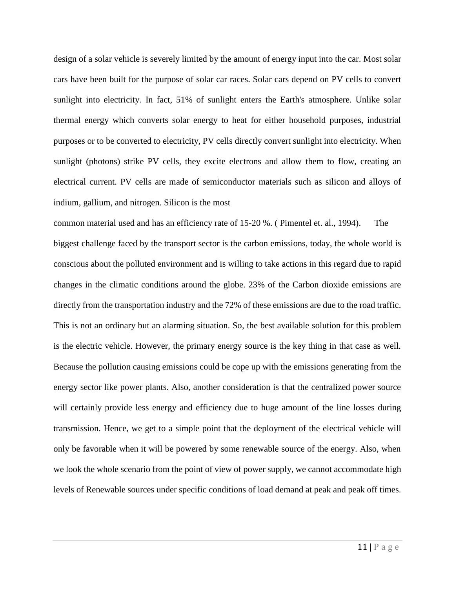design of a solar vehicle is severely limited by the amount of energy input into the car. Most solar cars have been built for the purpose of solar car races. Solar cars depend on PV cells to convert sunlight into electricity. In fact, 51% of sunlight enters the Earth's atmosphere. Unlike solar thermal energy which converts solar energy to heat for either household purposes, industrial purposes or to be converted to electricity, PV cells directly convert sunlight into electricity. When sunlight (photons) strike PV cells, they excite electrons and allow them to flow, creating an electrical current. PV cells are made of semiconductor materials such as silicon and alloys of indium, gallium, and nitrogen. Silicon is the most

common material used and has an efficiency rate of 15-20 %. ( Pimentel et. al., 1994). The biggest challenge faced by the transport sector is the carbon emissions, today, the whole world is conscious about the polluted environment and is willing to take actions in this regard due to rapid changes in the climatic conditions around the globe. 23% of the Carbon dioxide emissions are directly from the transportation industry and the 72% of these emissions are due to the road traffic. This is not an ordinary but an alarming situation. So, the best available solution for this problem is the electric vehicle. However, the primary energy source is the key thing in that case as well. Because the pollution causing emissions could be cope up with the emissions generating from the energy sector like power plants. Also, another consideration is that the centralized power source will certainly provide less energy and efficiency due to huge amount of the line losses during transmission. Hence, we get to a simple point that the deployment of the electrical vehicle will only be favorable when it will be powered by some renewable source of the energy. Also, when we look the whole scenario from the point of view of power supply, we cannot accommodate high levels of Renewable sources under specific conditions of load demand at peak and peak off times.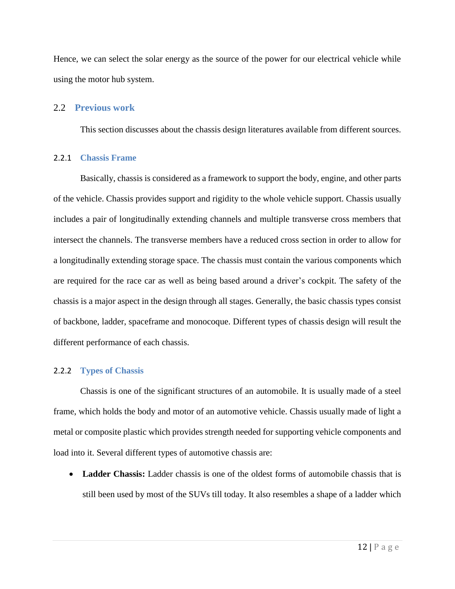Hence, we can select the solar energy as the source of the power for our electrical vehicle while using the motor hub system.

#### 2.2 **Previous work**

This section discusses about the chassis design literatures available from different sources.

#### 2.2.1 **Chassis Frame**

Basically, chassis is considered as a framework to support the body, engine, and other parts of the vehicle. Chassis provides support and rigidity to the whole vehicle support. Chassis usually includes a pair of longitudinally extending channels and multiple transverse cross members that intersect the channels. The transverse members have a reduced cross section in order to allow for a longitudinally extending storage space. The chassis must contain the various components which are required for the race car as well as being based around a driver's cockpit. The safety of the chassis is a major aspect in the design through all stages. Generally, the basic chassis types consist of backbone, ladder, spaceframe and monocoque. Different types of chassis design will result the different performance of each chassis.

#### 2.2.2 **Types of Chassis**

Chassis is one of the significant structures of an automobile. It is usually made of a steel frame, which holds the body and motor of an automotive vehicle. Chassis usually made of light a metal or composite plastic which provides strength needed for supporting vehicle components and load into it. Several different types of automotive chassis are:

• Ladder Chassis: Ladder chassis is one of the oldest forms of automobile chassis that is still been used by most of the SUVs till today. It also resembles a shape of a ladder which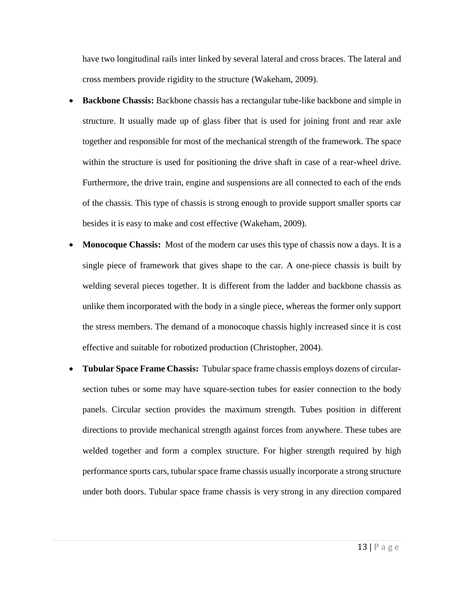have two longitudinal rails inter linked by several lateral and cross braces. The lateral and cross members provide rigidity to the structure (Wakeham, 2009).

- **Backbone Chassis:** Backbone chassis has a rectangular tube-like backbone and simple in structure. It usually made up of glass fiber that is used for joining front and rear axle together and responsible for most of the mechanical strength of the framework. The space within the structure is used for positioning the drive shaft in case of a rear-wheel drive. Furthermore, the drive train, engine and suspensions are all connected to each of the ends of the chassis. This type of chassis is strong enough to provide support smaller sports car besides it is easy to make and cost effective (Wakeham, 2009).
- **Monocoque Chassis:** Most of the modern car uses this type of chassis now a days. It is a single piece of framework that gives shape to the car. A one-piece chassis is built by welding several pieces together. It is different from the ladder and backbone chassis as unlike them incorporated with the body in a single piece, whereas the former only support the stress members. The demand of a monocoque chassis highly increased since it is cost effective and suitable for robotized production (Christopher, 2004).
- **Tubular Space Frame Chassis:** Tubular space frame chassis employs dozens of circularsection tubes or some may have square-section tubes for easier connection to the body panels. Circular section provides the maximum strength. Tubes position in different directions to provide mechanical strength against forces from anywhere. These tubes are welded together and form a complex structure. For higher strength required by high performance sports cars, tubular space frame chassis usually incorporate a strong structure under both doors. Tubular space frame chassis is very strong in any direction compared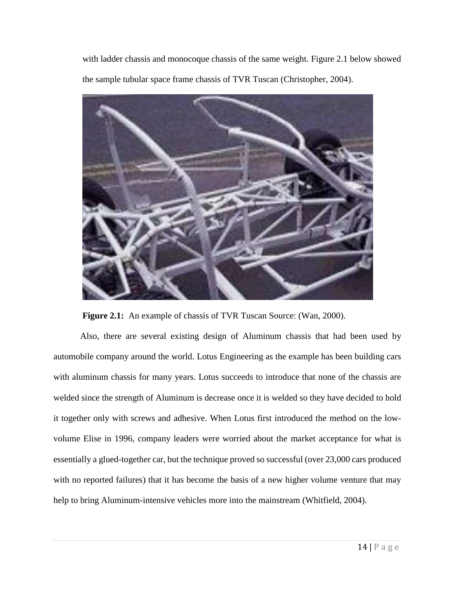with ladder chassis and monocoque chassis of the same weight. Figure 2.1 below showed the sample tubular space frame chassis of TVR Tuscan (Christopher, 2004).



**Figure 2.1:** An example of chassis of TVR Tuscan Source: (Wan, 2000).

Also, there are several existing design of Aluminum chassis that had been used by automobile company around the world. Lotus Engineering as the example has been building cars with aluminum chassis for many years. Lotus succeeds to introduce that none of the chassis are welded since the strength of Aluminum is decrease once it is welded so they have decided to hold it together only with screws and adhesive. When Lotus first introduced the method on the lowvolume Elise in 1996, company leaders were worried about the market acceptance for what is essentially a glued-together car, but the technique proved so successful (over 23,000 cars produced with no reported failures) that it has become the basis of a new higher volume venture that may help to bring Aluminum-intensive vehicles more into the mainstream (Whitfield, 2004).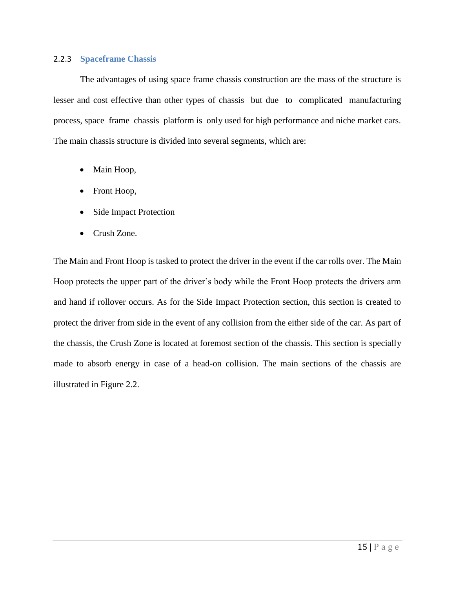#### 2.2.3 **Spaceframe Chassis**

The advantages of using space frame chassis construction are the mass of the structure is lesser and cost effective than other types of chassis but due to complicated manufacturing process, space frame chassis platform is only used for high performance and niche market cars. The main chassis structure is divided into several segments, which are:

- Main Hoop,
- Front Hoop,
- Side Impact Protection
- Crush Zone.

The Main and Front Hoop is tasked to protect the driver in the event if the car rolls over. The Main Hoop protects the upper part of the driver's body while the Front Hoop protects the drivers arm and hand if rollover occurs. As for the Side Impact Protection section, this section is created to protect the driver from side in the event of any collision from the either side of the car. As part of the chassis, the Crush Zone is located at foremost section of the chassis. This section is specially made to absorb energy in case of a head-on collision. The main sections of the chassis are illustrated in Figure 2.2.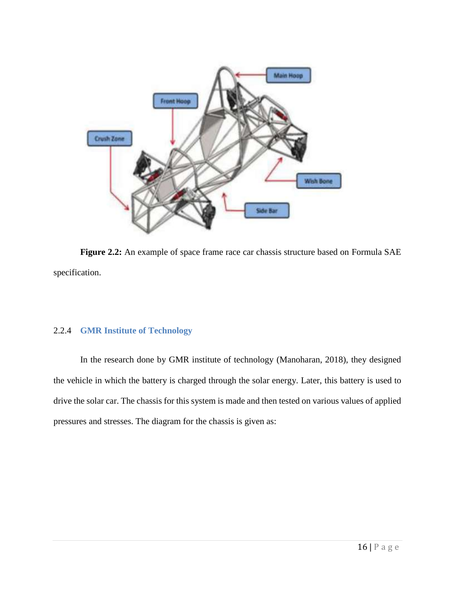

**Figure 2.2:** An example of space frame race car chassis structure based on Formula SAE specification.

### 2.2.4 **GMR Institute of Technology**

In the research done by GMR institute of technology (Manoharan, 2018), they designed the vehicle in which the battery is charged through the solar energy. Later, this battery is used to drive the solar car. The chassis for this system is made and then tested on various values of applied pressures and stresses. The diagram for the chassis is given as: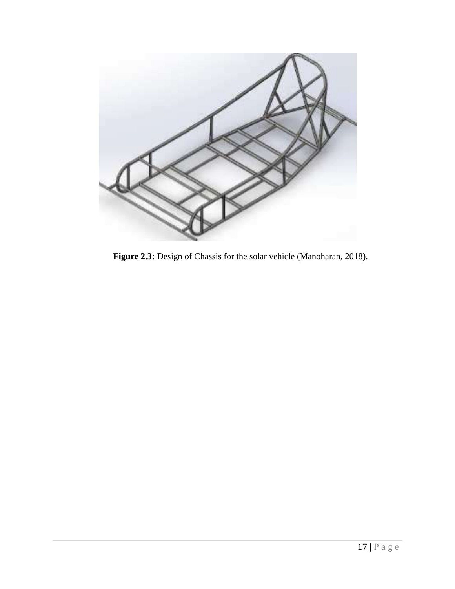

**Figure 2.3:** Design of Chassis for the solar vehicle (Manoharan, 2018).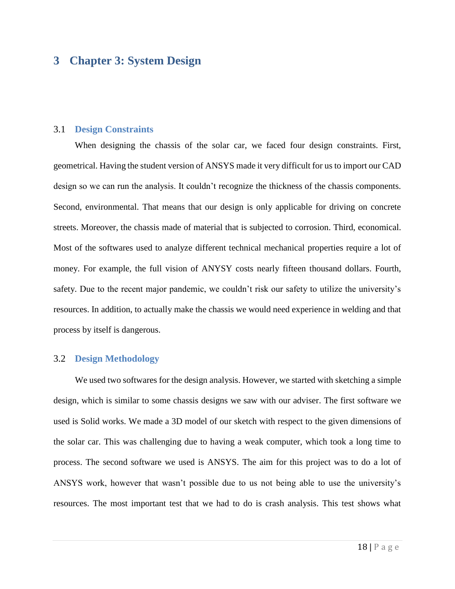### **3 Chapter 3: System Design**

#### 3.1 **Design Constraints**

When designing the chassis of the solar car, we faced four design constraints. First, geometrical. Having the student version of ANSYS made it very difficult for us to import our CAD design so we can run the analysis. It couldn't recognize the thickness of the chassis components. Second, environmental. That means that our design is only applicable for driving on concrete streets. Moreover, the chassis made of material that is subjected to corrosion. Third, economical. Most of the softwares used to analyze different technical mechanical properties require a lot of money. For example, the full vision of ANYSY costs nearly fifteen thousand dollars. Fourth, safety. Due to the recent major pandemic, we couldn't risk our safety to utilize the university's resources. In addition, to actually make the chassis we would need experience in welding and that process by itself is dangerous.

#### 3.2 **Design Methodology**

We used two softwares for the design analysis. However, we started with sketching a simple design, which is similar to some chassis designs we saw with our adviser. The first software we used is Solid works. We made a 3D model of our sketch with respect to the given dimensions of the solar car. This was challenging due to having a weak computer, which took a long time to process. The second software we used is ANSYS. The aim for this project was to do a lot of ANSYS work, however that wasn't possible due to us not being able to use the university's resources. The most important test that we had to do is crash analysis. This test shows what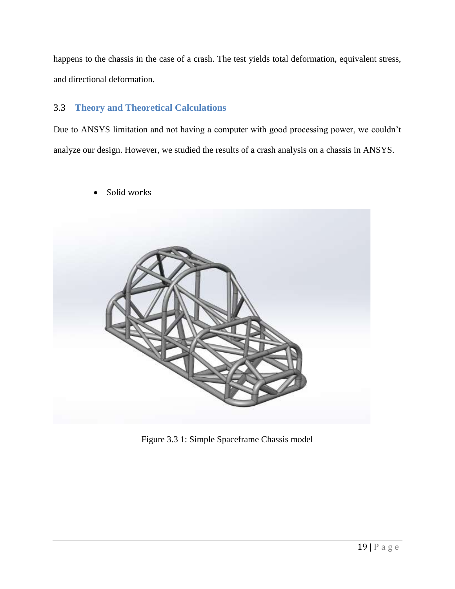happens to the chassis in the case of a crash. The test yields total deformation, equivalent stress, and directional deformation.

### 3.3 **Theory and Theoretical Calculations**

Due to ANSYS limitation and not having a computer with good processing power, we couldn't analyze our design. However, we studied the results of a crash analysis on a chassis in ANSYS.

Solid works



Figure 3.3 1: Simple Spaceframe Chassis model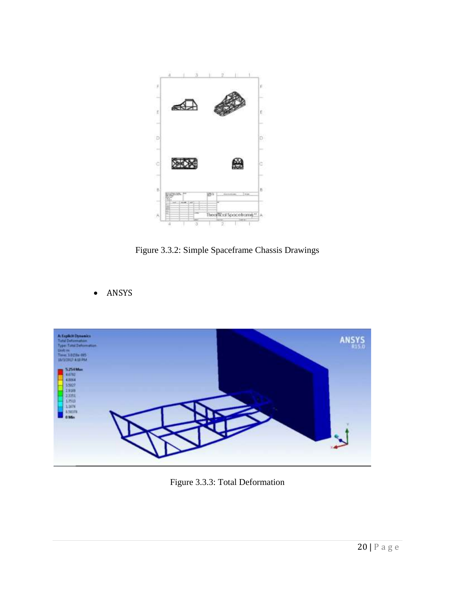

Figure 3.3.2: Simple Spaceframe Chassis Drawings

• ANSYS



Figure 3.3.3: Total Deformation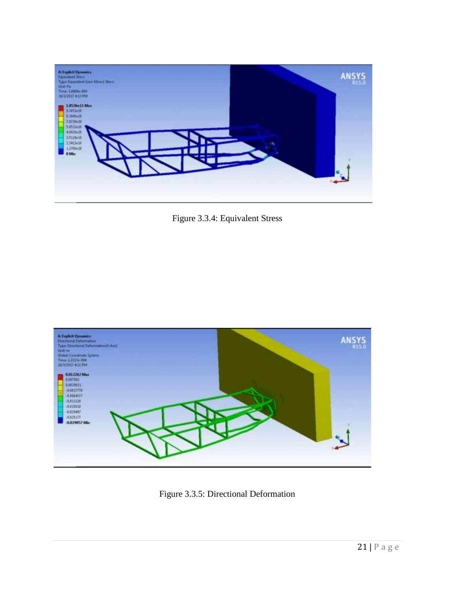

Figure 3.3.4: Equivalent Stress



Figure 3.3.5: Directional Deformation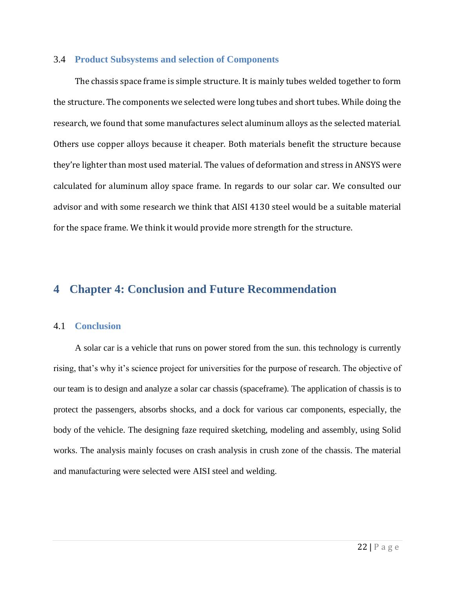#### 3.4 **Product Subsystems and selection of Components**

The chassis space frame is simple structure. It is mainly tubes welded together to form the structure. The components we selected were long tubes and short tubes. While doing the research, we found that some manufactures select aluminum alloys as the selected material. Others use copper alloys because it cheaper. Both materials benefit the structure because they're lighter than most used material. The values of deformation and stress in ANSYS were calculated for aluminum alloy space frame. In regards to our solar car. We consulted our advisor and with some research we think that AISI 4130 steel would be a suitable material for the space frame. We think it would provide more strength for the structure.

# **4 Chapter 4: Conclusion and Future Recommendation**

#### 4.1 **Conclusion**

A solar car is a vehicle that runs on power stored from the sun. this technology is currently rising, that's why it's science project for universities for the purpose of research. The objective of our team is to design and analyze a solar car chassis (spaceframe). The application of chassis is to protect the passengers, absorbs shocks, and a dock for various car components, especially, the body of the vehicle. The designing faze required sketching, modeling and assembly, using Solid works. The analysis mainly focuses on crash analysis in crush zone of the chassis. The material and manufacturing were selected were AISI steel and welding.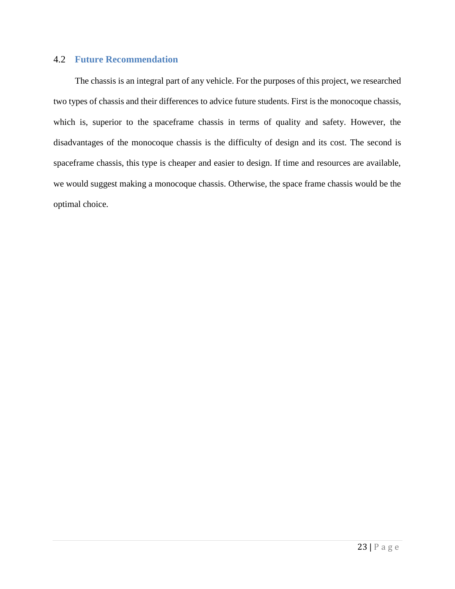### 4.2 **Future Recommendation**

The chassis is an integral part of any vehicle. For the purposes of this project, we researched two types of chassis and their differences to advice future students. First is the monocoque chassis, which is, superior to the spaceframe chassis in terms of quality and safety. However, the disadvantages of the monocoque chassis is the difficulty of design and its cost. The second is spaceframe chassis, this type is cheaper and easier to design. If time and resources are available, we would suggest making a monocoque chassis. Otherwise, the space frame chassis would be the optimal choice.